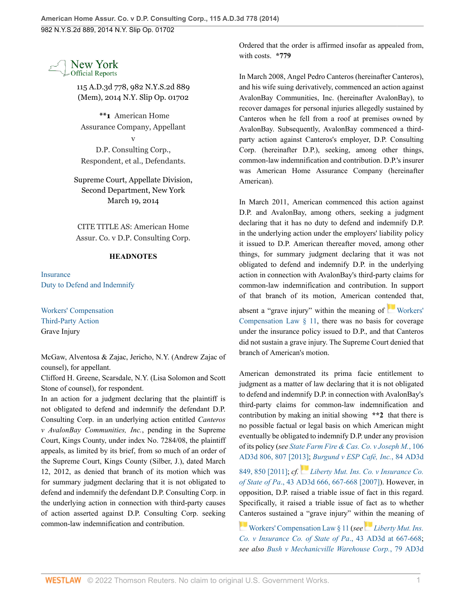

115 A.D.3d 778, 982 N.Y.S.2d 889 (Mem), 2014 N.Y. Slip Op. 01702

**\*\*1** American Home Assurance Company, Appellant v

D.P. Consulting Corp., Respondent, et al., Defendants.

Supreme Court, Appellate Division, Second Department, New York March 19, 2014

CITE TITLE AS: American Home Assur. Co. v D.P. Consulting Corp.

## **HEADNOTES**

**[Insurance](http://www.westlaw.com/Browse/Home/NYOKeyNumber/NY00000004380/View.html?docGuid=I1f5bcfdcaf9711e3a341ea44e5e1f25f&contentType=nyoDigest2and3&originationContext=document&transitionType=Document&vr=3.0&rs=cblt1.0&contextData=(sc.Search))** [Duty to Defend and Indemnify](http://www.westlaw.com/Browse/Home/NYOKeyNumber/NY00000004386/View.html?docGuid=I1f5bcfdcaf9711e3a341ea44e5e1f25f&contentType=nyoDigest2and3&originationContext=document&transitionType=Document&vr=3.0&rs=cblt1.0&contextData=(sc.Search))

[Workers' Compensation](http://www.westlaw.com/Browse/Home/NYOKeyNumber/NY00000006004/View.html?docGuid=I1f5bcfdcaf9711e3a341ea44e5e1f25f&contentType=nyoDigest2and3&originationContext=document&transitionType=Document&vr=3.0&rs=cblt1.0&contextData=(sc.Search)) [Third-Party Action](http://www.westlaw.com/Browse/Home/NYOKeyNumber/NY00000006005/View.html?docGuid=I1f5bcfdcaf9711e3a341ea44e5e1f25f&contentType=nyoDigest2and3&originationContext=document&transitionType=Document&vr=3.0&rs=cblt1.0&contextData=(sc.Search)) Grave Injury

McGaw, Alventosa & Zajac, Jericho, N.Y. (Andrew Zajac of counsel), for appellant.

Clifford H. Greene, Scarsdale, N.Y. (Lisa Solomon and Scott Stone of counsel), for respondent.

In an action for a judgment declaring that the plaintiff is not obligated to defend and indemnify the defendant D.P. Consulting Corp. in an underlying action entitled *Canteros v AvalonBay Communities, Inc.*, pending in the Supreme Court, Kings County, under index No. 7284/08, the plaintiff appeals, as limited by its brief, from so much of an order of the Supreme Court, Kings County (Silber, J.), dated March 12, 2012, as denied that branch of its motion which was for summary judgment declaring that it is not obligated to defend and indemnify the defendant D.P. Consulting Corp. in the underlying action in connection with third-party causes of action asserted against D.P. Consulting Corp. seeking common-law indemnification and contribution.

Ordered that the order is affirmed insofar as appealed from, with costs. **\*779**

In March 2008, Angel Pedro Canteros (hereinafter Canteros), and his wife suing derivatively, commenced an action against AvalonBay Communities, Inc. (hereinafter AvalonBay), to recover damages for personal injuries allegedly sustained by Canteros when he fell from a roof at premises owned by AvalonBay. Subsequently, AvalonBay commenced a thirdparty action against Canteros's employer, D.P. Consulting Corp. (hereinafter D.P.), seeking, among other things, common-law indemnification and contribution. D.P.'s insurer was American Home Assurance Company (hereinafter American).

In March 2011, American commenced this action against D.P. and AvalonBay, among others, seeking a judgment declaring that it has no duty to defend and indemnify D.P. in the underlying action under the employers' liability policy it issued to D.P. American thereafter moved, among other things, for summary judgment declaring that it was not obligated to defend and indemnify D.P. in the underlying action in connection with AvalonBay's third-party claims for common-law indemnification and contribution. In support of that branch of its motion, American contended that,

absent a "grave injury" within the meaning of [Workers'](http://www.westlaw.com/Link/Document/FullText?findType=L&pubNum=1000159&cite=NYWCS11&originatingDoc=I1f5bcfdcaf9711e3a341ea44e5e1f25f&refType=LQ&originationContext=document&vr=3.0&rs=cblt1.0&transitionType=DocumentItem&contextData=(sc.Search)) [Compensation Law § 11,](http://www.westlaw.com/Link/Document/FullText?findType=L&pubNum=1000159&cite=NYWCS11&originatingDoc=I1f5bcfdcaf9711e3a341ea44e5e1f25f&refType=LQ&originationContext=document&vr=3.0&rs=cblt1.0&transitionType=DocumentItem&contextData=(sc.Search)) there was no basis for coverage under the insurance policy issued to D.P., and that Canteros did not sustain a grave injury. The Supreme Court denied that branch of American's motion.

American demonstrated its prima facie entitlement to judgment as a matter of law declaring that it is not obligated to defend and indemnify D.P. in connection with AvalonBay's third-party claims for common-law indemnification and contribution by making an initial showing **\*\*2** that there is no possible factual or legal basis on which American might eventually be obligated to indemnify D.P. under any provision of its policy (*see [State Farm Fire & Cas. Co. v Joseph M.](http://www.westlaw.com/Link/Document/FullText?findType=Y&pubNum=0007049&cite=106AD3D806&originatingDoc=I1f5bcfdcaf9711e3a341ea44e5e1f25f&refType=RP&fi=co_pp_sp_7049_807&originationContext=document&vr=3.0&rs=cblt1.0&transitionType=DocumentItem&contextData=(sc.Search)#co_pp_sp_7049_807)*, 106 [AD3d 806, 807 \[2013\];](http://www.westlaw.com/Link/Document/FullText?findType=Y&pubNum=0007049&cite=106AD3D806&originatingDoc=I1f5bcfdcaf9711e3a341ea44e5e1f25f&refType=RP&fi=co_pp_sp_7049_807&originationContext=document&vr=3.0&rs=cblt1.0&transitionType=DocumentItem&contextData=(sc.Search)#co_pp_sp_7049_807) *[Burgund v ESP Café, Inc.](http://www.westlaw.com/Link/Document/FullText?findType=Y&pubNum=0007049&cite=84AD3D849&originatingDoc=I1f5bcfdcaf9711e3a341ea44e5e1f25f&refType=RP&fi=co_pp_sp_7049_850&originationContext=document&vr=3.0&rs=cblt1.0&transitionType=DocumentItem&contextData=(sc.Search)#co_pp_sp_7049_850)*, 84 AD3d [849, 850 \[2011\];](http://www.westlaw.com/Link/Document/FullText?findType=Y&pubNum=0007049&cite=84AD3D849&originatingDoc=I1f5bcfdcaf9711e3a341ea44e5e1f25f&refType=RP&fi=co_pp_sp_7049_850&originationContext=document&vr=3.0&rs=cblt1.0&transitionType=DocumentItem&contextData=(sc.Search)#co_pp_sp_7049_850) *cf. [Liberty Mut. Ins. Co. v Insurance Co.](http://www.westlaw.com/Link/Document/FullText?findType=Y&pubNum=0007049&cite=43AD3D666&originatingDoc=I1f5bcfdcaf9711e3a341ea44e5e1f25f&refType=RP&fi=co_pp_sp_7049_667&originationContext=document&vr=3.0&rs=cblt1.0&transitionType=DocumentItem&contextData=(sc.Search)#co_pp_sp_7049_667)*

*of State of Pa*[., 43 AD3d 666, 667-668 \[2007\]](http://www.westlaw.com/Link/Document/FullText?findType=Y&pubNum=0007049&cite=43AD3D666&originatingDoc=I1f5bcfdcaf9711e3a341ea44e5e1f25f&refType=RP&fi=co_pp_sp_7049_667&originationContext=document&vr=3.0&rs=cblt1.0&transitionType=DocumentItem&contextData=(sc.Search)#co_pp_sp_7049_667)). However, in opposition, D.P. raised a triable issue of fact in this regard. Specifically, it raised a triable issue of fact as to whether [Can](https://1.next.westlaw.com/Link/RelatedInformation/Flag?documentGuid=N5AA5E2403C3A11E7BB8DA3C0921B0A62&transitionType=InlineKeyCiteFlags&originationContext=docHeaderFlag&Rank=0&ppcid=d572b04d17fd40c2bd08c51bddd34a02&contextData=(sc.Search) )teros sustained a "grave injury" within the meaning of

[Workers' Compensation Law § 11](http://www.westlaw.com/Link/Document/FullText?findType=L&pubNum=1000159&cite=NYWCS11&originatingDoc=I1f5bcfdcaf9711e3a341ea44e5e1f25f&refType=LQ&originationContext=document&vr=3.0&rs=cblt1.0&transitionType=DocumentItem&contextData=(sc.Search)) (*see[Liberty Mut. Ins.](http://www.westlaw.com/Link/Document/FullText?findType=Y&pubNum=0007049&cite=43AD3D667&originatingDoc=I1f5bcfdcaf9711e3a341ea44e5e1f25f&refType=RP&fi=co_pp_sp_7049_667&originationContext=document&vr=3.0&rs=cblt1.0&transitionType=DocumentItem&contextData=(sc.Search)#co_pp_sp_7049_667) [Co. v Insurance Co. of State of Pa](http://www.westlaw.com/Link/Document/FullText?findType=Y&pubNum=0007049&cite=43AD3D667&originatingDoc=I1f5bcfdcaf9711e3a341ea44e5e1f25f&refType=RP&fi=co_pp_sp_7049_667&originationContext=document&vr=3.0&rs=cblt1.0&transitionType=DocumentItem&contextData=(sc.Search)#co_pp_sp_7049_667)*., 43 AD3d at 667-668; *see also [Bush v Mechanicville Warehouse Corp.](http://www.westlaw.com/Link/Document/FullText?findType=Y&pubNum=0007049&cite=79AD3D1327&originatingDoc=I1f5bcfdcaf9711e3a341ea44e5e1f25f&refType=RP&fi=co_pp_sp_7049_1329&originationContext=document&vr=3.0&rs=cblt1.0&transitionType=DocumentItem&contextData=(sc.Search)#co_pp_sp_7049_1329)*, 79 AD3d